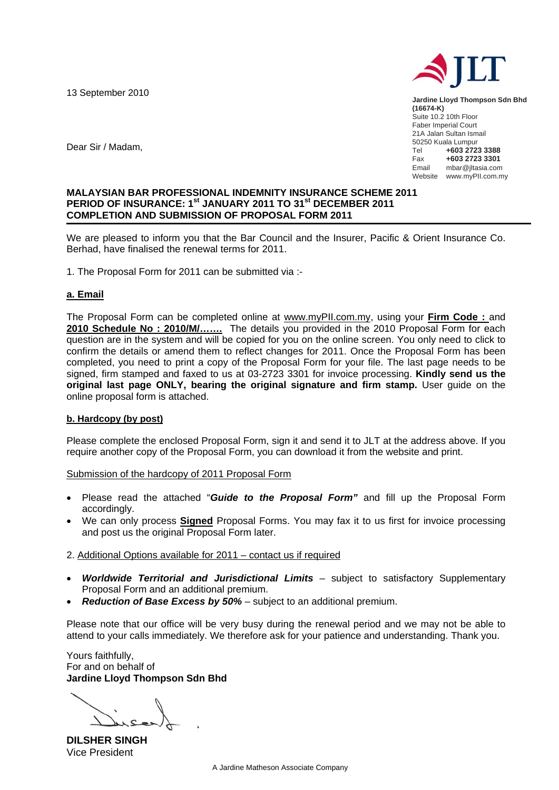13 September 2010



**Jardine Lloyd Thompson Sdn Bhd (16674-K)**  Suite 10.2 10th Floor Faber Imperial Court 21A Jalan Sultan Ismail 50250 Kuala Lumpur<br>Tel **+603 272** Tel **+603 2723 3388** Fax **+603 2723 3301**  mbar@jltasia.com Website www.myPII.com.my

Dear Sir / Madam,

### **MALAYSIAN BAR PROFESSIONAL INDEMNITY INSURANCE SCHEME 2011 PERIOD OF INSURANCE: 1st JANUARY 2011 TO 31st DECEMBER 2011 COMPLETION AND SUBMISSION OF PROPOSAL FORM 2011**

We are pleased to inform you that the Bar Council and the Insurer, Pacific & Orient Insurance Co. Berhad, have finalised the renewal terms for 2011.

1. The Proposal Form for 2011 can be submitted via :-

## **a. Email**

The Proposal Form can be completed online at www.myPII.com.my, using your **Firm Code :** and **2010 Schedule No : 2010/M/…….** The details you provided in the 2010 Proposal Form for each question are in the system and will be copied for you on the online screen. You only need to click to confirm the details or amend them to reflect changes for 2011. Once the Proposal Form has been completed, you need to print a copy of the Proposal Form for your file. The last page needs to be signed, firm stamped and faxed to us at 03-2723 3301 for invoice processing. **Kindly send us the original last page ONLY, bearing the original signature and firm stamp.** User guide on the online proposal form is attached.

### **b. Hardcopy (by post)**

Please complete the enclosed Proposal Form, sign it and send it to JLT at the address above. If you require another copy of the Proposal Form, you can download it from the website and print.

Submission of the hardcopy of 2011 Proposal Form

- Please read the attached "*Guide to the Proposal Form"* and fill up the Proposal Form accordingly.
- We can only process **Signed** Proposal Forms. You may fax it to us first for invoice processing and post us the original Proposal Form later.

### 2. Additional Options available for 2011 – contact us if required

- *Worldwide Territorial and Jurisdictional Limits* subject to satisfactory Supplementary Proposal Form and an additional premium.
- *Reduction of Base Excess by 50%*  subject to an additional premium.

Please note that our office will be very busy during the renewal period and we may not be able to attend to your calls immediately. We therefore ask for your patience and understanding. Thank you.

Yours faithfully, For and on behalf of **Jardine Lloyd Thompson Sdn Bhd** 

**DILSHER SINGH**  Vice President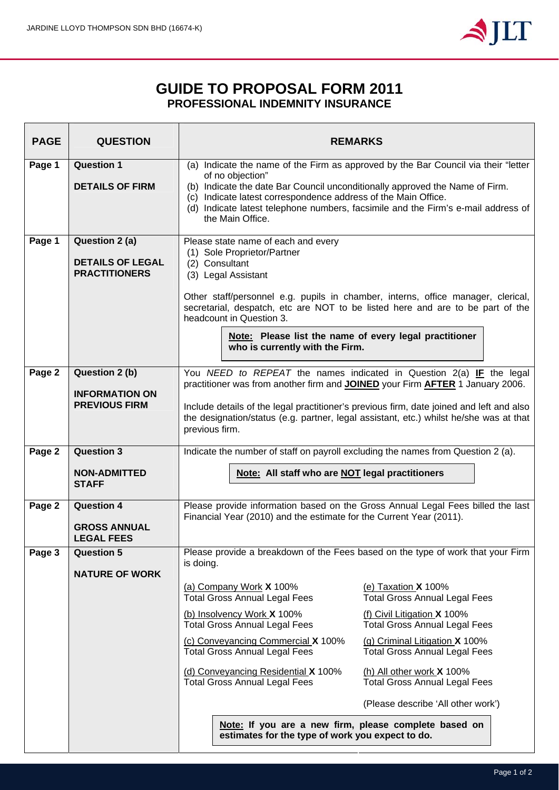

# **GUIDE TO PROPOSAL FORM 2011 PROFESSIONAL INDEMNITY INSURANCE**

| <b>PAGE</b> | <b>QUESTION</b>                                 | <b>REMARKS</b>                                                                                                                                                                                                                                          |  |  |  |  |  |  |  |  |
|-------------|-------------------------------------------------|---------------------------------------------------------------------------------------------------------------------------------------------------------------------------------------------------------------------------------------------------------|--|--|--|--|--|--|--|--|
| Page 1      | <b>Question 1</b><br><b>DETAILS OF FIRM</b>     | (a) Indicate the name of the Firm as approved by the Bar Council via their "letter<br>of no objection"                                                                                                                                                  |  |  |  |  |  |  |  |  |
|             |                                                 | (b) Indicate the date Bar Council unconditionally approved the Name of Firm.<br>(c) Indicate latest correspondence address of the Main Office.<br>(d) Indicate latest telephone numbers, facsimile and the Firm's e-mail address of<br>the Main Office. |  |  |  |  |  |  |  |  |
| Page 1      | Question 2 (a)                                  | Please state name of each and every                                                                                                                                                                                                                     |  |  |  |  |  |  |  |  |
|             | <b>DETAILS OF LEGAL</b><br><b>PRACTITIONERS</b> | (1) Sole Proprietor/Partner<br>(2) Consultant<br>(3) Legal Assistant                                                                                                                                                                                    |  |  |  |  |  |  |  |  |
|             |                                                 | Other staff/personnel e.g. pupils in chamber, interns, office manager, clerical,<br>secretarial, despatch, etc are NOT to be listed here and are to be part of the<br>headcount in Question 3.                                                          |  |  |  |  |  |  |  |  |
|             |                                                 | Note: Please list the name of every legal practitioner<br>who is currently with the Firm.                                                                                                                                                               |  |  |  |  |  |  |  |  |
| Page 2      | Question 2 (b)                                  | You NEED to REPEAT the names indicated in Question 2(a) IF the legal<br>practitioner was from another firm and JOINED your Firm AFTER 1 January 2006.                                                                                                   |  |  |  |  |  |  |  |  |
|             | <b>INFORMATION ON</b><br><b>PREVIOUS FIRM</b>   | Include details of the legal practitioner's previous firm, date joined and left and also<br>the designation/status (e.g. partner, legal assistant, etc.) whilst he/she was at that<br>previous firm.                                                    |  |  |  |  |  |  |  |  |
| Page 2      | <b>Question 3</b>                               | Indicate the number of staff on payroll excluding the names from Question 2 (a).                                                                                                                                                                        |  |  |  |  |  |  |  |  |
|             | <b>NON-ADMITTED</b><br><b>STAFF</b>             | Note: All staff who are NOT legal practitioners                                                                                                                                                                                                         |  |  |  |  |  |  |  |  |
| Page 2      | <b>Question 4</b>                               | Please provide information based on the Gross Annual Legal Fees billed the last<br>Financial Year (2010) and the estimate for the Current Year (2011).                                                                                                  |  |  |  |  |  |  |  |  |
|             | <b>GROSS ANNUAL</b><br><b>LEGAL FEES</b>        |                                                                                                                                                                                                                                                         |  |  |  |  |  |  |  |  |
| Page 3      | <b>Question 5</b><br><b>NATURE OF WORK</b>      | Please provide a breakdown of the Fees based on the type of work that your Firm<br>is doing.                                                                                                                                                            |  |  |  |  |  |  |  |  |
|             |                                                 | (a) Company Work X 100%<br>(e) Taxation $X$ 100%<br><b>Total Gross Annual Legal Fees</b><br><b>Total Gross Annual Legal Fees</b>                                                                                                                        |  |  |  |  |  |  |  |  |
|             |                                                 | (b) Insolvency Work X 100%<br>(f) Civil Litigation X 100%<br><b>Total Gross Annual Legal Fees</b><br><b>Total Gross Annual Legal Fees</b>                                                                                                               |  |  |  |  |  |  |  |  |
|             |                                                 | (c) Conveyancing Commercial X 100%<br>(g) Criminal Litigation X 100%<br><b>Total Gross Annual Legal Fees</b><br><b>Total Gross Annual Legal Fees</b>                                                                                                    |  |  |  |  |  |  |  |  |
|             |                                                 | (d) Conveyancing Residential X 100%<br>(h) All other work $X$ 100%<br><b>Total Gross Annual Legal Fees</b><br><b>Total Gross Annual Legal Fees</b>                                                                                                      |  |  |  |  |  |  |  |  |
|             |                                                 | (Please describe 'All other work')                                                                                                                                                                                                                      |  |  |  |  |  |  |  |  |
|             |                                                 | Note: If you are a new firm, please complete based on<br>estimates for the type of work you expect to do.                                                                                                                                               |  |  |  |  |  |  |  |  |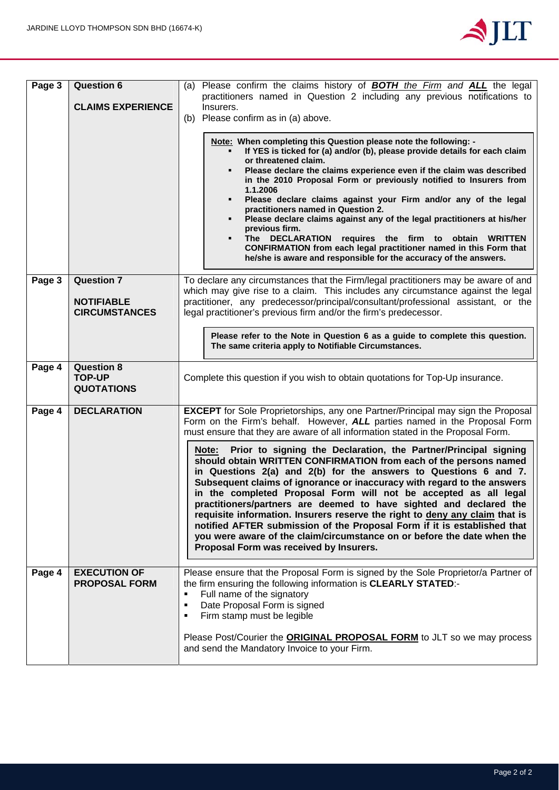

| Page 3 | <b>Question 6</b>                                       | (a) Please confirm the claims history of <b>BOTH</b> the Firm and <b>ALL</b> the legal<br>practitioners named in Question 2 including any previous notifications to                                                                                                                                                                                                                                                                                                                                                                                                                                                                                                                                                                        |  |  |  |  |  |  |  |
|--------|---------------------------------------------------------|--------------------------------------------------------------------------------------------------------------------------------------------------------------------------------------------------------------------------------------------------------------------------------------------------------------------------------------------------------------------------------------------------------------------------------------------------------------------------------------------------------------------------------------------------------------------------------------------------------------------------------------------------------------------------------------------------------------------------------------------|--|--|--|--|--|--|--|
|        | <b>CLAIMS EXPERIENCE</b>                                | Insurers.                                                                                                                                                                                                                                                                                                                                                                                                                                                                                                                                                                                                                                                                                                                                  |  |  |  |  |  |  |  |
|        |                                                         | (b) Please confirm as in (a) above.                                                                                                                                                                                                                                                                                                                                                                                                                                                                                                                                                                                                                                                                                                        |  |  |  |  |  |  |  |
|        |                                                         | Note: When completing this Question please note the following: -<br>If YES is ticked for (a) and/or (b), please provide details for each claim<br>or threatened claim.<br>Please declare the claims experience even if the claim was described<br>in the 2010 Proposal Form or previously notified to Insurers from<br>1.1.2006<br>Please declare claims against your Firm and/or any of the legal<br>practitioners named in Question 2.<br>Please declare claims against any of the legal practitioners at his/her<br>previous firm.<br>The DECLARATION requires the firm to obtain WRITTEN<br>٠<br>CONFIRMATION from each legal practitioner named in this Form that<br>he/she is aware and responsible for the accuracy of the answers. |  |  |  |  |  |  |  |
| Page 3 | <b>Question 7</b>                                       | To declare any circumstances that the Firm/legal practitioners may be aware of and<br>which may give rise to a claim. This includes any circumstance against the legal                                                                                                                                                                                                                                                                                                                                                                                                                                                                                                                                                                     |  |  |  |  |  |  |  |
|        | <b>NOTIFIABLE</b><br><b>CIRCUMSTANCES</b>               | practitioner, any predecessor/principal/consultant/professional assistant, or the<br>legal practitioner's previous firm and/or the firm's predecessor.                                                                                                                                                                                                                                                                                                                                                                                                                                                                                                                                                                                     |  |  |  |  |  |  |  |
|        |                                                         | Please refer to the Note in Question 6 as a guide to complete this question.                                                                                                                                                                                                                                                                                                                                                                                                                                                                                                                                                                                                                                                               |  |  |  |  |  |  |  |
|        |                                                         | The same criteria apply to Notifiable Circumstances.                                                                                                                                                                                                                                                                                                                                                                                                                                                                                                                                                                                                                                                                                       |  |  |  |  |  |  |  |
| Page 4 | <b>Question 8</b><br><b>TOP-UP</b><br><b>QUOTATIONS</b> | Complete this question if you wish to obtain quotations for Top-Up insurance.                                                                                                                                                                                                                                                                                                                                                                                                                                                                                                                                                                                                                                                              |  |  |  |  |  |  |  |
| Page 4 | <b>DECLARATION</b>                                      | <b>EXCEPT</b> for Sole Proprietorships, any one Partner/Principal may sign the Proposal<br>Form on the Firm's behalf. However, ALL parties named in the Proposal Form<br>must ensure that they are aware of all information stated in the Proposal Form.                                                                                                                                                                                                                                                                                                                                                                                                                                                                                   |  |  |  |  |  |  |  |
|        |                                                         | Prior to signing the Declaration, the Partner/Principal signing<br>Note:<br>should obtain WRITTEN CONFIRMATION from each of the persons named<br>in Questions 2(a) and 2(b) for the answers to Questions 6 and 7.<br>Subsequent claims of ignorance or inaccuracy with regard to the answers<br>in the completed Proposal Form will not be accepted as all legal<br>practitioners/partners are deemed to have sighted and declared the<br>requisite information. Insurers reserve the right to deny any claim that is<br>notified AFTER submission of the Proposal Form if it is established that<br>you were aware of the claim/circumstance on or before the date when the<br>Proposal Form was received by Insurers.                    |  |  |  |  |  |  |  |
| Page 4 | <b>EXECUTION OF</b><br><b>PROPOSAL FORM</b>             | Please ensure that the Proposal Form is signed by the Sole Proprietor/a Partner of<br>the firm ensuring the following information is CLEARLY STATED:-<br>Full name of the signatory<br>Ξ<br>Date Proposal Form is signed<br>٠<br>Firm stamp must be legible<br>П                                                                                                                                                                                                                                                                                                                                                                                                                                                                           |  |  |  |  |  |  |  |
|        |                                                         | Please Post/Courier the <b>ORIGINAL PROPOSAL FORM</b> to JLT so we may process<br>and send the Mandatory Invoice to your Firm.                                                                                                                                                                                                                                                                                                                                                                                                                                                                                                                                                                                                             |  |  |  |  |  |  |  |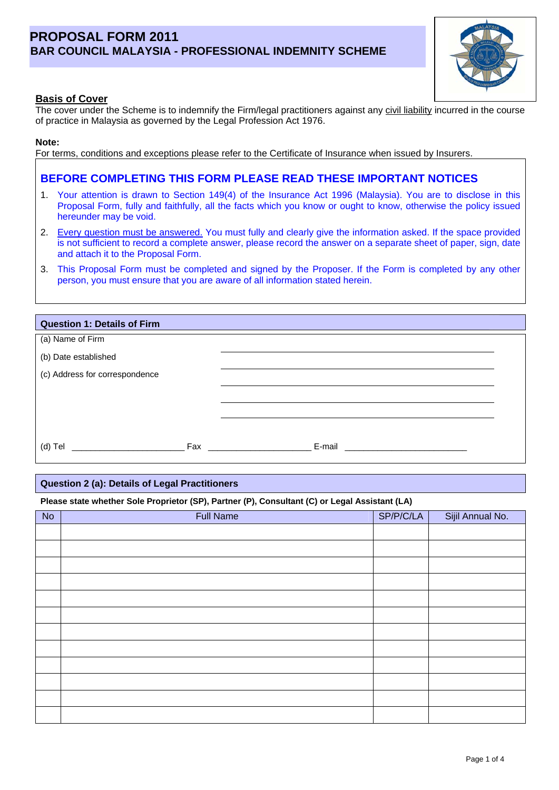# **PROPOSAL FORM 2011 BAR COUNCIL MALAYSIA - PROFESSIONAL INDEMNITY SCHEME**



The cover under the Scheme is to indemnify the Firm/legal practitioners against any civil liability incurred in the course of practice in Malaysia as governed by the Legal Profession Act 1976.

#### **Note:**

For terms, conditions and exceptions please refer to the Certificate of Insurance when issued by Insurers.

# **BEFORE COMPLETING THIS FORM PLEASE READ THESE IMPORTANT NOTICES**

- 1. Your attention is drawn to Section 149(4) of the Insurance Act 1996 (Malaysia). You are to disclose in this Proposal Form, fully and faithfully, all the facts which you know or ought to know, otherwise the policy issued hereunder may be void.
- 2. Every question must be answered. You must fully and clearly give the information asked. If the space provided is not sufficient to record a complete answer, please record the answer on a separate sheet of paper, sign, date and attach it to the Proposal Form.
- 3. This Proposal Form must be completed and signed by the Proposer. If the Form is completed by any other person, you must ensure that you are aware of all information stated herein.

| <b>Question 1: Details of Firm</b> |                                                                                                                                                                                                                                                                                        |  |
|------------------------------------|----------------------------------------------------------------------------------------------------------------------------------------------------------------------------------------------------------------------------------------------------------------------------------------|--|
| (a) Name of Firm                   |                                                                                                                                                                                                                                                                                        |  |
| (b) Date established               |                                                                                                                                                                                                                                                                                        |  |
| (c) Address for correspondence     |                                                                                                                                                                                                                                                                                        |  |
|                                    |                                                                                                                                                                                                                                                                                        |  |
|                                    |                                                                                                                                                                                                                                                                                        |  |
|                                    |                                                                                                                                                                                                                                                                                        |  |
| $(d)$ Tel                          | Fax Particular Contract Contract Contract Contract Contract Contract Contract Contract Contract Contract Contract Contract Contract Contract Contract Contract Contract Contract Contract Contract Contract Contract Contract<br>E-mail<br><u> 1980 - Jan Barbara Barat, manazarta</u> |  |

#### **Question 2 (a): Details of Legal Practitioners**

#### **Please state whether Sole Proprietor (SP), Partner (P), Consultant (C) or Legal Assistant (LA)**

| No | <b>Full Name</b> | SP/P/C/LA | Sijil Annual No. |
|----|------------------|-----------|------------------|
|    |                  |           |                  |
|    |                  |           |                  |
|    |                  |           |                  |
|    |                  |           |                  |
|    |                  |           |                  |
|    |                  |           |                  |
|    |                  |           |                  |
|    |                  |           |                  |
|    |                  |           |                  |
|    |                  |           |                  |
|    |                  |           |                  |
|    |                  |           |                  |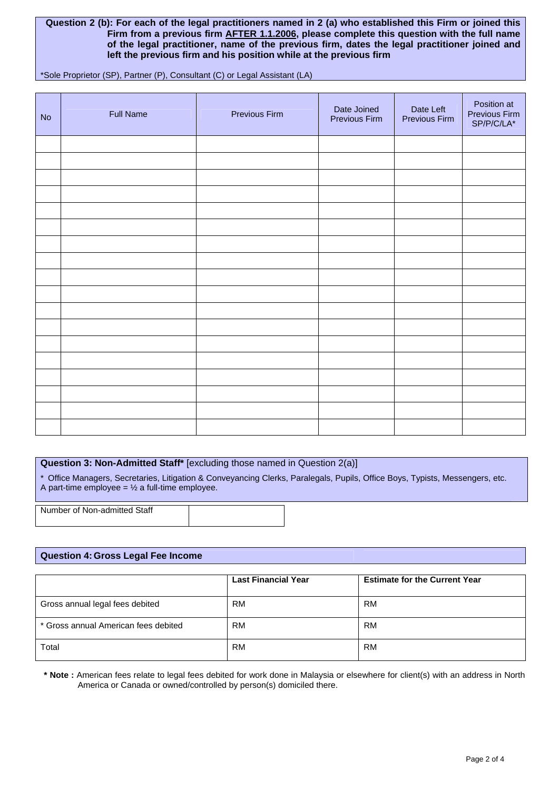#### **Question 2 (b): For each of the legal practitioners named in 2 (a) who established this Firm or joined this Firm from a previous firm AFTER 1.1.2006, please complete this question with the full name of the legal practitioner, name of the previous firm, dates the legal practitioner joined and left the previous firm and his position while at the previous firm**

\*Sole Proprietor (SP), Partner (P), Consultant (C) or Legal Assistant (LA)

| No | <b>Full Name</b> | Previous Firm | Date Joined<br>Previous Firm | Date Left<br>Previous Firm | Position at<br>Previous Firm<br>$SP/P/C/LA^*$ |
|----|------------------|---------------|------------------------------|----------------------------|-----------------------------------------------|
|    |                  |               |                              |                            |                                               |
|    |                  |               |                              |                            |                                               |
|    |                  |               |                              |                            |                                               |
|    |                  |               |                              |                            |                                               |
|    |                  |               |                              |                            |                                               |
|    |                  |               |                              |                            |                                               |
|    |                  |               |                              |                            |                                               |
|    |                  |               |                              |                            |                                               |
|    |                  |               |                              |                            |                                               |
|    |                  |               |                              |                            |                                               |
|    |                  |               |                              |                            |                                               |
|    |                  |               |                              |                            |                                               |
|    |                  |               |                              |                            |                                               |
|    |                  |               |                              |                            |                                               |
|    |                  |               |                              |                            |                                               |
|    |                  |               |                              |                            |                                               |
|    |                  |               |                              |                            |                                               |
|    |                  |               |                              |                            |                                               |

#### **Question 3: Non-Admitted Staff\*** [excluding those named in Question 2(a)]

\* Office Managers, Secretaries, Litigation & Conveyancing Clerks, Paralegals, Pupils, Office Boys, Typists, Messengers, etc. A part-time employee =  $\frac{1}{2}$  a full-time employee.

Number of Non-admitted Staff

#### **Question 4: Gross Legal Fee Income**

|                                      | <b>Last Financial Year</b> | <b>Estimate for the Current Year</b> |
|--------------------------------------|----------------------------|--------------------------------------|
| Gross annual legal fees debited      | <b>RM</b>                  | RM                                   |
| * Gross annual American fees debited | RM                         | RM                                   |
| Total                                | <b>RM</b>                  | <b>RM</b>                            |

**\* Note :** American fees relate to legal fees debited for work done in Malaysia or elsewhere for client(s) with an address in North America or Canada or owned/controlled by person(s) domiciled there.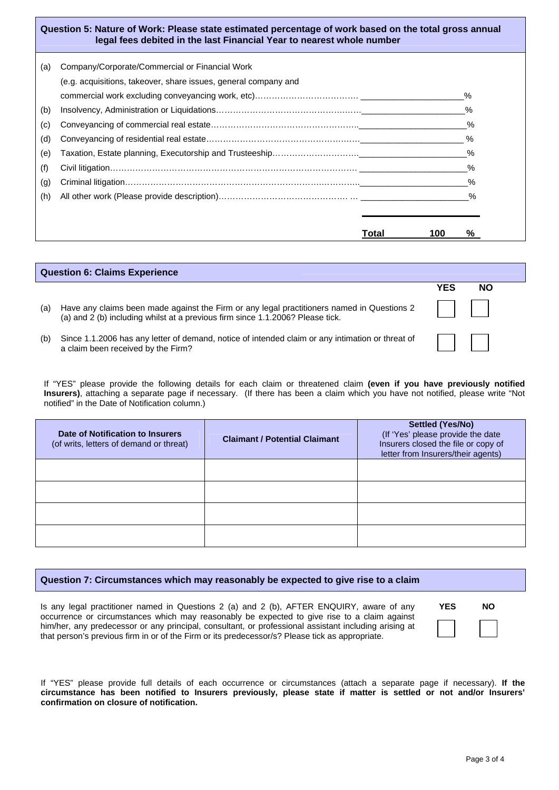|     | Question 5: Nature of Work: Please state estimated percentage of work based on the total gross annual<br>legal fees debited in the last Financial Year to nearest whole number |      |
|-----|--------------------------------------------------------------------------------------------------------------------------------------------------------------------------------|------|
| (a) | Company/Corporate/Commercial or Financial Work                                                                                                                                 |      |
|     | (e.g. acquisitions, takeover, share issues, general company and                                                                                                                |      |
|     |                                                                                                                                                                                | ℅    |
| (b) |                                                                                                                                                                                |      |
| (c) |                                                                                                                                                                                | $\%$ |
| (d) |                                                                                                                                                                                | $\%$ |
| (e) |                                                                                                                                                                                | $\%$ |
| (f) |                                                                                                                                                                                | $\%$ |
| (g) |                                                                                                                                                                                | $\%$ |
| (h) |                                                                                                                                                                                | %    |
|     |                                                                                                                                                                                |      |
|     |                                                                                                                                                                                |      |

|     | <b>Question 6: Claims Experience</b>                                                                                                                                         |                                                     |  |  |  |  |  |  |
|-----|------------------------------------------------------------------------------------------------------------------------------------------------------------------------------|-----------------------------------------------------|--|--|--|--|--|--|
|     |                                                                                                                                                                              | YES<br><b>NO</b>                                    |  |  |  |  |  |  |
| (a) | Have any claims been made against the Firm or any legal practitioners named in Questions 2<br>(a) and 2 (b) including whilst at a previous firm since 1.1.2006? Please tick. | $\mathbf{1}$ $\mathbf{1}$ $\mathbf{1}$ $\mathbf{1}$ |  |  |  |  |  |  |
| (b) | Since 1.1.2006 has any letter of demand, notice of intended claim or any intimation or threat of<br>a claim been received by the Firm?                                       |                                                     |  |  |  |  |  |  |

**Total 100 %**

If "YES" please provide the following details for each claim or threatened claim **(even if you have previously notified Insurers)**, attaching a separate page if necessary. (If there has been a claim which you have not notified, please write "Not notified" in the Date of Notification column.)

| <b>Date of Notification to Insurers</b><br>(of writs, letters of demand or threat) | <b>Claimant / Potential Claimant</b> | <b>Settled (Yes/No)</b><br>(If 'Yes' please provide the date<br>Insurers closed the file or copy of<br>letter from Insurers/their agents) |
|------------------------------------------------------------------------------------|--------------------------------------|-------------------------------------------------------------------------------------------------------------------------------------------|
|                                                                                    |                                      |                                                                                                                                           |
|                                                                                    |                                      |                                                                                                                                           |
|                                                                                    |                                      |                                                                                                                                           |
|                                                                                    |                                      |                                                                                                                                           |

#### **Question 7: Circumstances which may reasonably be expected to give rise to a claim**

Is any legal practitioner named in Questions 2 (a) and 2 (b), AFTER ENQUIRY, aware of any occurrence or circumstances which may reasonably be expected to give rise to a claim against him/her, any predecessor or any principal, consultant, or professional assistant including arising at that person's previous firm in or of the Firm or its predecessor/s? Please tick as appropriate.

 **YES NO** 

|                                          |  |  |  | If "YES" please provide full details of each occurrence or circumstances (attach a separate page if necessary). If the |  |  |  |  |  |
|------------------------------------------|--|--|--|------------------------------------------------------------------------------------------------------------------------|--|--|--|--|--|
|                                          |  |  |  | circumstance has been notified to Insurers previously, please state if matter is settled or not and/or Insurers'       |  |  |  |  |  |
| confirmation on closure of notification. |  |  |  |                                                                                                                        |  |  |  |  |  |